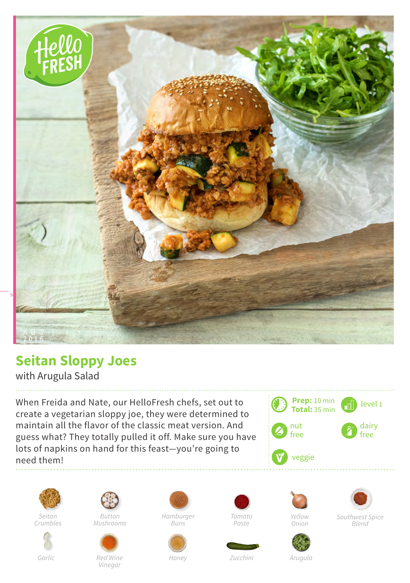

## **Seitan Sloppy Joes**

with Arugula Salad

When Freida and Nate, our HelloFresh chefs, set out to create a vegetarian sloppy joe, they were determined to maintain all the flavor of the classic meat version. And guess what? They totally pulled it off. Make sure you have lots of napkins on hand for this feast—you're going to need them!





*Seitan Crumbles*



*Button Mushrooms*



*Red Wine Vinegar*

*Hamburger* 

*Buns*

*Honey*









*Yellow Onion*

*Southwest Spice Blend*

*Zucchini Arugula*